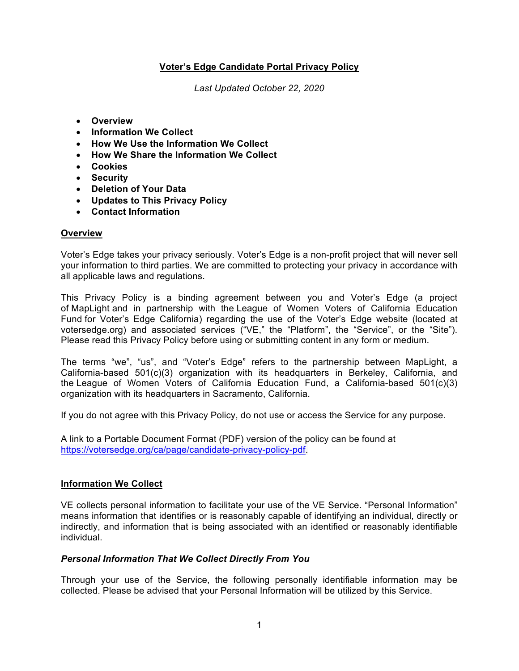# **Voter's Edge Candidate Portal Privacy Policy**

*Last Updated October 22, 2020*

- **Overview**
- **Information We Collect**
- **How We Use the Information We Collect**
- **How We Share the Information We Collect**
- **Cookies**
- **Security**
- **Deletion of Your Data**
- **Updates to This Privacy Policy**
- **Contact Information**

### **Overview**

Voter's Edge takes your privacy seriously. Voter's Edge is a non-profit project that will never sell your information to third parties. We are committed to protecting your privacy in accordance with all applicable laws and regulations.

This Privacy Policy is a binding agreement between you and Voter's Edge (a project of MapLight and in partnership with the League of Women Voters of California Education Fund for Voter's Edge California) regarding the use of the Voter's Edge website (located at votersedge.org) and associated services ("VE," the "Platform", the "Service", or the "Site"). Please read this Privacy Policy before using or submitting content in any form or medium.

The terms "we", "us", and "Voter's Edge" refers to the partnership between MapLight, a California-based 501(c)(3) organization with its headquarters in Berkeley, California, and the League of Women Voters of California Education Fund, a California-based 501(c)(3) organization with its headquarters in Sacramento, California.

If you do not agree with this Privacy Policy, do not use or access the Service for any purpose.

A link to a Portable Document Format (PDF) version of the policy can be found at https://votersedge.org/ca/page/candidate-privacy-policy-pdf.

### **Information We Collect**

VE collects personal information to facilitate your use of the VE Service. "Personal Information" means information that identifies or is reasonably capable of identifying an individual, directly or indirectly, and information that is being associated with an identified or reasonably identifiable individual.

### *Personal Information That We Collect Directly From You*

Through your use of the Service, the following personally identifiable information may be collected. Please be advised that your Personal Information will be utilized by this Service.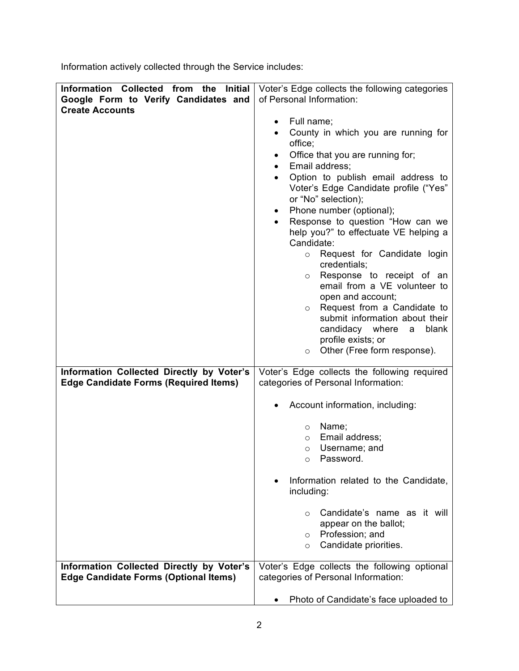Information actively collected through the Service includes:

| Information Collected from the<br><b>Initial</b> | Voter's Edge collects the following categories         |
|--------------------------------------------------|--------------------------------------------------------|
| Google Form to Verify Candidates and             | of Personal Information:                               |
| <b>Create Accounts</b>                           |                                                        |
|                                                  | Full name;<br>$\bullet$                                |
|                                                  | County in which you are running for                    |
|                                                  | office;                                                |
|                                                  | Office that you are running for;<br>٠                  |
|                                                  | Email address;<br>$\bullet$                            |
|                                                  | Option to publish email address to                     |
|                                                  | Voter's Edge Candidate profile ("Yes"                  |
|                                                  | or "No" selection);                                    |
|                                                  | Phone number (optional);<br>$\bullet$                  |
|                                                  | Response to question "How can we<br>$\bullet$          |
|                                                  | help you?" to effectuate VE helping a                  |
|                                                  | Candidate:                                             |
|                                                  | Request for Candidate login<br>$\circ$<br>credentials; |
|                                                  | Response to receipt of an<br>$\circ$                   |
|                                                  | email from a VE volunteer to                           |
|                                                  | open and account;                                      |
|                                                  | Request from a Candidate to<br>$\circ$                 |
|                                                  | submit information about their                         |
|                                                  | candidacy where<br>blank<br>$\mathsf{a}$               |
|                                                  | profile exists; or                                     |
|                                                  | Other (Free form response).<br>$\circ$                 |
| Information Collected Directly by Voter's        | Voter's Edge collects the following required           |
| <b>Edge Candidate Forms (Required Items)</b>     | categories of Personal Information:                    |
|                                                  |                                                        |
|                                                  | Account information, including:                        |
|                                                  |                                                        |
|                                                  | Name;<br>$\circ$                                       |
|                                                  | Email address;<br>$\circ$                              |
|                                                  | Username; and<br>$\circ$                               |
|                                                  | Password.<br>$\circ$                                   |
|                                                  |                                                        |
|                                                  | Information related to the Candidate,<br>including:    |
|                                                  |                                                        |
|                                                  | Candidate's name as it will<br>$\circ$                 |
|                                                  | appear on the ballot;                                  |
|                                                  | Profession; and<br>$\circ$                             |
|                                                  | Candidate priorities.<br>$\circ$                       |
|                                                  |                                                        |
| Information Collected Directly by Voter's        | Voter's Edge collects the following optional           |
| <b>Edge Candidate Forms (Optional Items)</b>     | categories of Personal Information:                    |
|                                                  |                                                        |
|                                                  | Photo of Candidate's face uploaded to                  |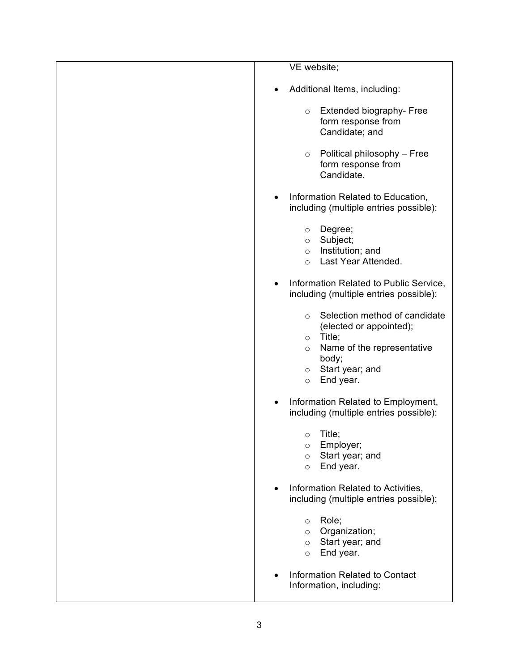| VE website;                                                                                                                                                                                      |
|--------------------------------------------------------------------------------------------------------------------------------------------------------------------------------------------------|
| Additional Items, including:<br>$\bullet$                                                                                                                                                        |
| Extended biography- Free<br>$\circ$<br>form response from<br>Candidate; and                                                                                                                      |
| Political philosophy - Free<br>$\circ$<br>form response from<br>Candidate.                                                                                                                       |
| Information Related to Education,<br>$\bullet$<br>including (multiple entries possible):                                                                                                         |
| Degree;<br>$\circ$<br>Subject;<br>$\circ$<br>Institution; and<br>$\circ$<br>Last Year Attended.<br>$\circ$                                                                                       |
| Information Related to Public Service,<br>$\bullet$<br>including (multiple entries possible):                                                                                                    |
| Selection method of candidate<br>$\circ$<br>(elected or appointed);<br>Title;<br>$\circ$<br>Name of the representative<br>$\circ$<br>body;<br>Start year; and<br>$\circ$<br>End year.<br>$\circ$ |
| Information Related to Employment,<br>including (multiple entries possible):                                                                                                                     |
| Title;<br>$\circ$<br>Employer;<br>$\circ$<br>Start year; and<br>$\circ$<br>End year.<br>$\circ$                                                                                                  |
| Information Related to Activities,<br>including (multiple entries possible):                                                                                                                     |
| Role;<br>$\circ$<br>Organization;<br>$\circ$<br>Start year; and<br>$\circ$<br>End year.<br>$\circ$                                                                                               |
| Information Related to Contact<br>Information, including:                                                                                                                                        |
|                                                                                                                                                                                                  |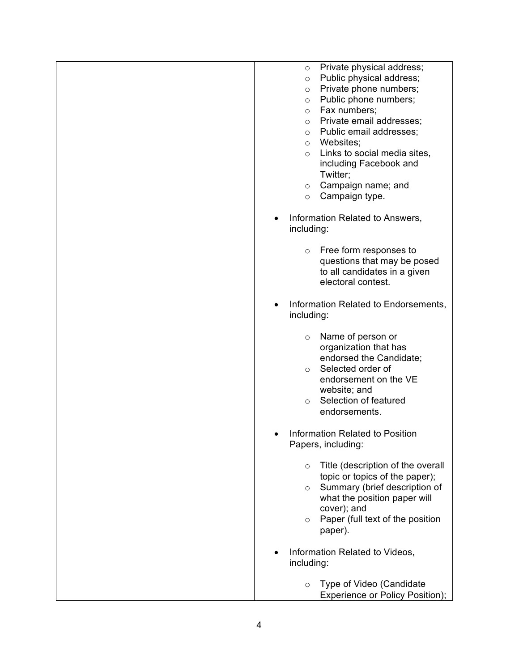| Private physical address;<br>$\circ$<br>Public physical address;<br>$\circ$<br>Private phone numbers;<br>O<br>Public phone numbers;<br>$\circ$<br>Fax numbers;<br>$\circ$<br>Private email addresses;<br>$\circ$<br>Public email addresses;<br>$\circ$<br>Websites;<br>$\circ$<br>Links to social media sites,<br>$\circ$<br>including Facebook and<br>Twitter;<br>Campaign name; and<br>$\circ$<br>Campaign type.<br>$\circ$ |  |
|-------------------------------------------------------------------------------------------------------------------------------------------------------------------------------------------------------------------------------------------------------------------------------------------------------------------------------------------------------------------------------------------------------------------------------|--|
| Information Related to Answers,<br>including:                                                                                                                                                                                                                                                                                                                                                                                 |  |
| Free form responses to<br>$\circ$<br>questions that may be posed<br>to all candidates in a given<br>electoral contest.                                                                                                                                                                                                                                                                                                        |  |
| Information Related to Endorsements,<br>including:                                                                                                                                                                                                                                                                                                                                                                            |  |
| Name of person or<br>$\circ$<br>organization that has<br>endorsed the Candidate;<br>Selected order of<br>$\circ$<br>endorsement on the VE<br>website; and<br>Selection of featured<br>$\circ$<br>endorsements.                                                                                                                                                                                                                |  |
| <b>Information Related to Position</b><br>Papers, including:                                                                                                                                                                                                                                                                                                                                                                  |  |
| Title (description of the overall<br>$\circ$<br>topic or topics of the paper);<br>Summary (brief description of<br>$\circ$<br>what the position paper will<br>cover); and<br>Paper (full text of the position<br>$\circ$<br>paper).                                                                                                                                                                                           |  |
| Information Related to Videos,<br>including:                                                                                                                                                                                                                                                                                                                                                                                  |  |
| Type of Video (Candidate<br>O<br>Experience or Policy Position);                                                                                                                                                                                                                                                                                                                                                              |  |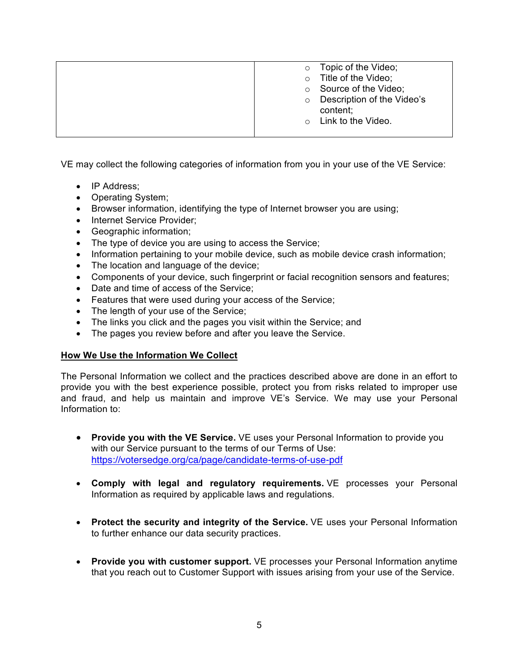| Topic of the Video;<br>$\circ$        |
|---------------------------------------|
| Title of the Video;<br>$\circ$        |
| Source of the Video;<br>$\circ$       |
| Description of the Video's<br>$\circ$ |
| content;                              |
| Link to the Video.<br>$\cap$          |
|                                       |
|                                       |

VE may collect the following categories of information from you in your use of the VE Service:

- IP Address:
- Operating System;
- Browser information, identifying the type of Internet browser you are using;
- Internet Service Provider;
- Geographic information;
- The type of device you are using to access the Service;
- Information pertaining to your mobile device, such as mobile device crash information;
- The location and language of the device;
- Components of your device, such fingerprint or facial recognition sensors and features;
- Date and time of access of the Service;
- Features that were used during your access of the Service;
- The length of your use of the Service;
- The links you click and the pages you visit within the Service; and
- The pages you review before and after you leave the Service.

# **How We Use the Information We Collect**

The Personal Information we collect and the practices described above are done in an effort to provide you with the best experience possible, protect you from risks related to improper use and fraud, and help us maintain and improve VE's Service. We may use your Personal Information to:

- **Provide you with the VE Service.** VE uses your Personal Information to provide you with our Service pursuant to the terms of our Terms of Use: https://votersedge.org/ca/page/candidate-terms-of-use-pdf
- **Comply with legal and regulatory requirements.** VE processes your Personal Information as required by applicable laws and regulations.
- **Protect the security and integrity of the Service.** VE uses your Personal Information to further enhance our data security practices.
- **Provide you with customer support.** VE processes your Personal Information anytime that you reach out to Customer Support with issues arising from your use of the Service.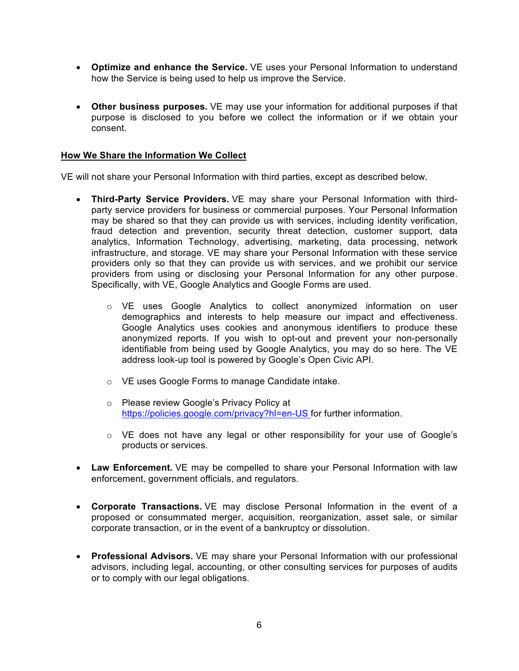- **Optimize and enhance the Service.** VE uses your Personal Information to understand how the Service is being used to help us improve the Service.
- **Other business purposes.** VE may use your information for additional purposes if that purpose is disclosed to you before we collect the information or if we obtain your consent.

### **How We Share the Information We Collect**

VE will not share your Personal Information with third parties, except as described below.

- **Third-Party Service Providers.** VE may share your Personal Information with thirdparty service providers for business or commercial purposes. Your Personal Information may be shared so that they can provide us with services, including identity verification, fraud detection and prevention, security threat detection, customer support, data analytics, Information Technology, advertising, marketing, data processing, network infrastructure, and storage. VE may share your Personal Information with these service providers only so that they can provide us with services, and we prohibit our service providers from using or disclosing your Personal Information for any other purpose. Specifically, with VE, Google Analytics and Google Forms are used.
	- o VE uses Google Analytics to collect anonymized information on user demographics and interests to help measure our impact and effectiveness. Google Analytics uses cookies and anonymous identifiers to produce these anonymized reports. If you wish to opt-out and prevent your non-personally identifiable from being used by Google Analytics, you may do so here. The VE address look-up tool is powered by Google's Open Civic API.
	- o VE uses Google Forms to manage Candidate intake.
	- o Please review Google's Privacy Policy at https://policies.google.com/privacy?hl=en-US for further information.
	- o VE does not have any legal or other responsibility for your use of Google's products or services.
- **Law Enforcement.** VE may be compelled to share your Personal Information with law enforcement, government officials, and regulators.
- **Corporate Transactions.** VE may disclose Personal Information in the event of a proposed or consummated merger, acquisition, reorganization, asset sale, or similar corporate transaction, or in the event of a bankruptcy or dissolution.
- **Professional Advisors.** VE may share your Personal Information with our professional advisors, including legal, accounting, or other consulting services for purposes of audits or to comply with our legal obligations.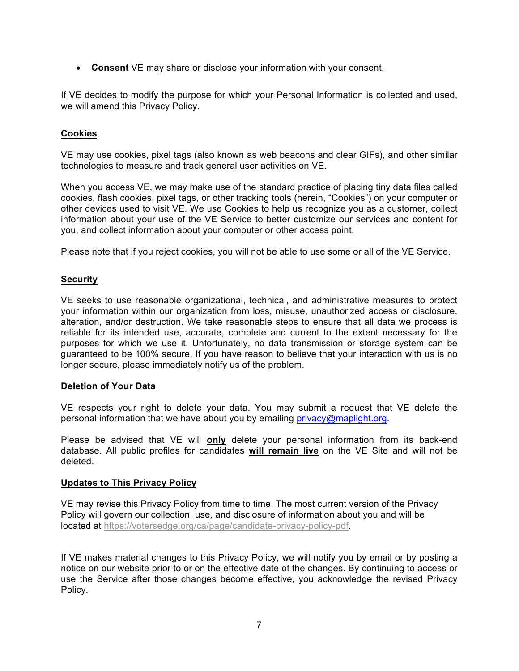• **Consent** VE may share or disclose your information with your consent.

If VE decides to modify the purpose for which your Personal Information is collected and used, we will amend this Privacy Policy.

# **Cookies**

VE may use cookies, pixel tags (also known as web beacons and clear GIFs), and other similar technologies to measure and track general user activities on VE.

When you access VE, we may make use of the standard practice of placing tiny data files called cookies, flash cookies, pixel tags, or other tracking tools (herein, "Cookies") on your computer or other devices used to visit VE. We use Cookies to help us recognize you as a customer, collect information about your use of the VE Service to better customize our services and content for you, and collect information about your computer or other access point.

Please note that if you reject cookies, you will not be able to use some or all of the VE Service.

# **Security**

VE seeks to use reasonable organizational, technical, and administrative measures to protect your information within our organization from loss, misuse, unauthorized access or disclosure, alteration, and/or destruction. We take reasonable steps to ensure that all data we process is reliable for its intended use, accurate, complete and current to the extent necessary for the purposes for which we use it. Unfortunately, no data transmission or storage system can be guaranteed to be 100% secure. If you have reason to believe that your interaction with us is no longer secure, please immediately notify us of the problem.

### **Deletion of Your Data**

VE respects your right to delete your data. You may submit a request that VE delete the personal information that we have about you by emailing privacy@maplight.org.

Please be advised that VE will **only** delete your personal information from its back-end database. All public profiles for candidates **will remain live** on the VE Site and will not be deleted.

### **Updates to This Privacy Policy**

VE may revise this Privacy Policy from time to time. The most current version of the Privacy Policy will govern our collection, use, and disclosure of information about you and will be located at https://votersedge.org/ca/page/candidate-privacy-policy-pdf.

If VE makes material changes to this Privacy Policy, we will notify you by email or by posting a notice on our website prior to or on the effective date of the changes. By continuing to access or use the Service after those changes become effective, you acknowledge the revised Privacy Policy.